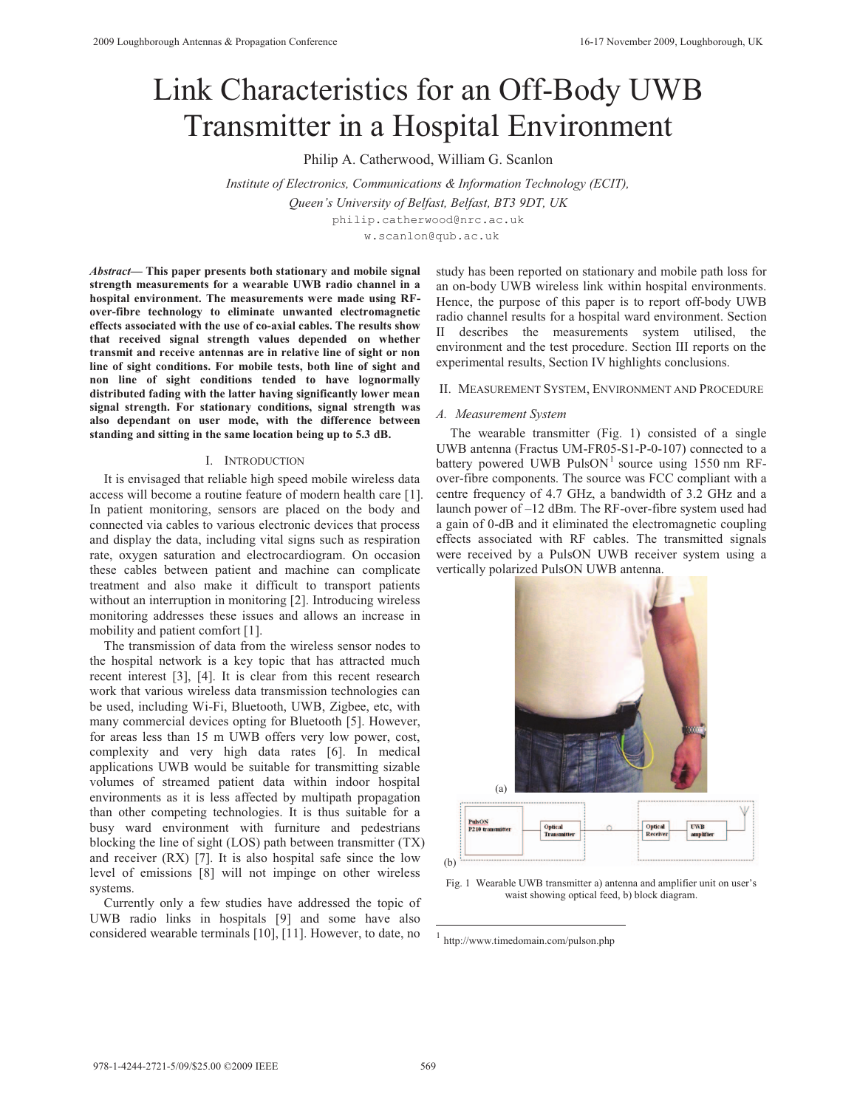# Link Characteristics for an Off-Body UWB Transmitter in a Hospital Environment

Philip A. Catherwood, William G. Scanlon

*Institute of Electronics, Communications & Information Technology (ECIT), Queen's University of Belfast, Belfast, BT3 9DT, UK*  philip.catherwood@nrc.ac.uk w.scanlon@qub.ac.uk

*Abstract***— This paper presents both stationary and mobile signal strength measurements for a wearable UWB radio channel in a hospital environment. The measurements were made using RFover-fibre technology to eliminate unwanted electromagnetic effects associated with the use of co-axial cables. The results show that received signal strength values depended on whether transmit and receive antennas are in relative line of sight or non line of sight conditions. For mobile tests, both line of sight and non line of sight conditions tended to have lognormally distributed fading with the latter having significantly lower mean signal strength. For stationary conditions, signal strength was also dependant on user mode, with the difference between standing and sitting in the same location being up to 5.3 dB.** 

### I. INTRODUCTION

It is envisaged that reliable high speed mobile wireless data access will become a routine feature of modern health care [1]. In patient monitoring, sensors are placed on the body and connected via cables to various electronic devices that process and display the data, including vital signs such as respiration rate, oxygen saturation and electrocardiogram. On occasion these cables between patient and machine can complicate treatment and also make it difficult to transport patients without an interruption in monitoring [2]. Introducing wireless monitoring addresses these issues and allows an increase in mobility and patient comfort [1].

The transmission of data from the wireless sensor nodes to the hospital network is a key topic that has attracted much recent interest [3], [4]. It is clear from this recent research work that various wireless data transmission technologies can be used, including Wi-Fi, Bluetooth, UWB, Zigbee, etc, with many commercial devices opting for Bluetooth [5]. However, for areas less than 15 m UWB offers very low power, cost, complexity and very high data rates [6]. In medical applications UWB would be suitable for transmitting sizable volumes of streamed patient data within indoor hospital environments as it is less affected by multipath propagation than other competing technologies. It is thus suitable for a busy ward environment with furniture and pedestrians blocking the line of sight (LOS) path between transmitter (TX) and receiver (RX) [7]. It is also hospital safe since the low level of emissions [8] will not impinge on other wireless systems.

Currently only a few studies have addressed the topic of UWB radio links in hospitals [9] and some have also considered wearable terminals [10], [11]. However, to date, no

study has been reported on stationary and mobile path loss for an on-body UWB wireless link within hospital environments. Hence, the purpose of this paper is to report off-body UWB radio channel results for a hospital ward environment. Section II describes the measurements system utilised, the environment and the test procedure. Section III reports on the experimental results, Section IV highlights conclusions.

#### II. MEASUREMENT SYSTEM, ENVIRONMENT AND PROCEDURE

### *A. Measurement System*

The wearable transmitter (Fig. 1) consisted of a single UWB antenna (Fractus UM-FR05-S1-P-0-107) connected to a battery powered UWB  $PulsON<sup>1</sup> source using 1550 nm RF$ over-fibre components. The source was FCC compliant with a centre frequency of 4.7 GHz, a bandwidth of 3.2 GHz and a launch power of –12 dBm. The RF-over-fibre system used had a gain of 0-dB and it eliminated the electromagnetic coupling effects associated with RF cables. The transmitted signals were received by a PulsON UWB receiver system using a vertically polarized PulsON UWB antenna.



Optical<br>Transmit **UWB** (b)

Fig. 1 Wearable UWB transmitter a) antenna and amplifier unit on user's waist showing optical feed, b) block diagram.

 $\overline{a}$ 

<sup>1</sup> http://www.timedomain.com/pulson.php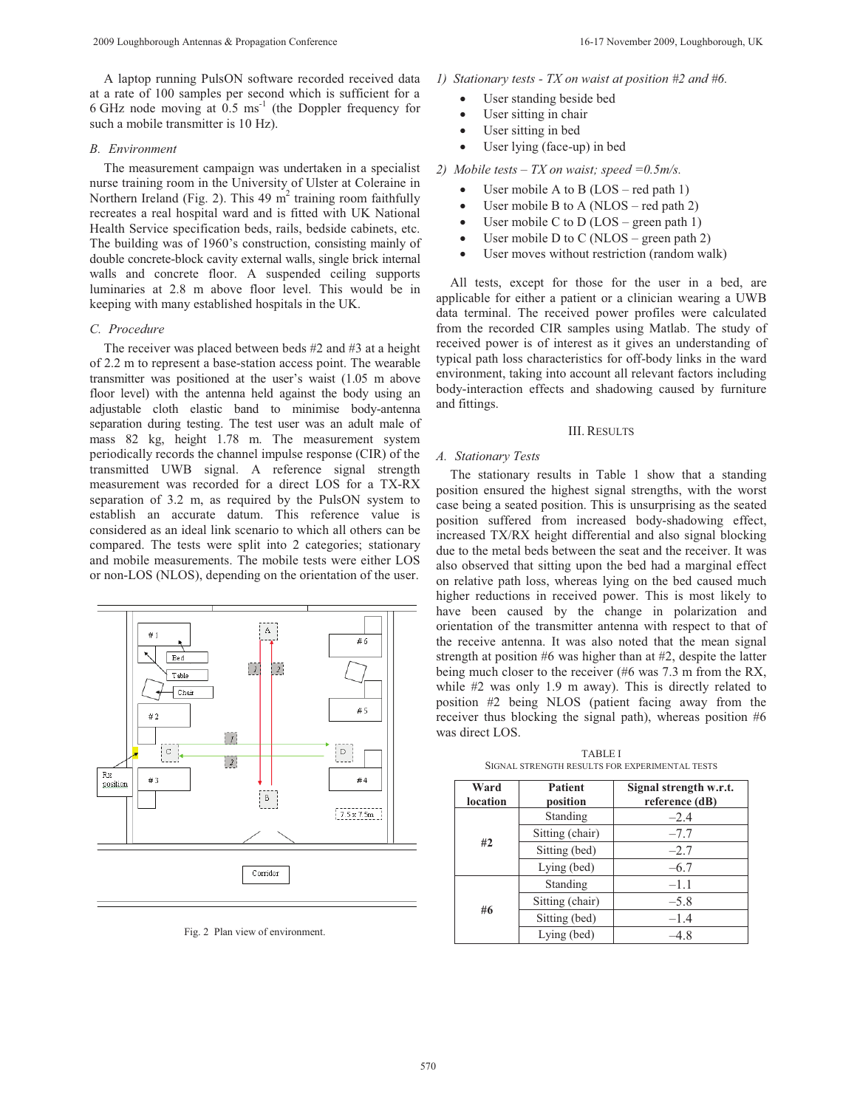A laptop running PulsON software recorded received data at a rate of 100 samples per second which is sufficient for a 6 GHz node moving at  $0.5 \text{ ms}^{-1}$  (the Doppler frequency for such a mobile transmitter is 10 Hz).

## *B. Environment*

The measurement campaign was undertaken in a specialist nurse training room in the University of Ulster at Coleraine in Northern Ireland (Fig. 2). This  $49 \text{ m}^2$  training room faithfully recreates a real hospital ward and is fitted with UK National Health Service specification beds, rails, bedside cabinets, etc. The building was of 1960's construction, consisting mainly of double concrete-block cavity external walls, single brick internal walls and concrete floor. A suspended ceiling supports luminaries at 2.8 m above floor level. This would be in keeping with many established hospitals in the UK.

## *C. Procedure*

The receiver was placed between beds #2 and #3 at a height of 2.2 m to represent a base-station access point. The wearable transmitter was positioned at the user's waist (1.05 m above floor level) with the antenna held against the body using an adjustable cloth elastic band to minimise body-antenna separation during testing. The test user was an adult male of mass 82 kg, height 1.78 m. The measurement system periodically records the channel impulse response (CIR) of the transmitted UWB signal. A reference signal strength measurement was recorded for a direct LOS for a TX-RX separation of 3.2 m, as required by the PulsON system to establish an accurate datum. This reference value is considered as an ideal link scenario to which all others can be compared. The tests were split into 2 categories; stationary and mobile measurements. The mobile tests were either LOS or non-LOS (NLOS), depending on the orientation of the user.



Fig. 2 Plan view of environment.

- *1) Stationary tests TX on waist at position #2 and #6.* 
	- -User standing beside bed
	- -User sitting in chair
	- -User sitting in bed
	- -User lying (face-up) in bed

*2) Mobile tests – TX on waist; speed =0.5m/s.* 

- -User mobile A to B (LOS – red path 1)
- -User mobile B to A (NLOS – red path 2)
- -User mobile C to D (LOS – green path 1)
- -User mobile D to C (NLOS – green path 2)
- -User moves without restriction (random walk)

All tests, except for those for the user in a bed, are applicable for either a patient or a clinician wearing a UWB data terminal. The received power profiles were calculated from the recorded CIR samples using Matlab. The study of received power is of interest as it gives an understanding of typical path loss characteristics for off-body links in the ward environment, taking into account all relevant factors including body-interaction effects and shadowing caused by furniture and fittings.

## III. RESULTS

## *A. Stationary Tests*

The stationary results in Table 1 show that a standing position ensured the highest signal strengths, with the worst case being a seated position. This is unsurprising as the seated position suffered from increased body-shadowing effect, increased TX/RX height differential and also signal blocking due to the metal beds between the seat and the receiver. It was also observed that sitting upon the bed had a marginal effect on relative path loss, whereas lying on the bed caused much higher reductions in received power. This is most likely to have been caused by the change in polarization and orientation of the transmitter antenna with respect to that of the receive antenna. It was also noted that the mean signal strength at position #6 was higher than at #2, despite the latter being much closer to the receiver (#6 was 7.3 m from the RX, while #2 was only 1.9 m away). This is directly related to position #2 being NLOS (patient facing away from the receiver thus blocking the signal path), whereas position #6 was direct LOS.

TABLE I SIGNAL STRENGTH RESULTS FOR EXPERIMENTAL TESTS

| Ward<br><b>Patient</b><br>location<br>position |                 | Signal strength w.r.t.<br>reference (dB) |  |  |
|------------------------------------------------|-----------------|------------------------------------------|--|--|
| #2                                             | Standing        | $-2.4$                                   |  |  |
|                                                | Sitting (chair) | $-7.7$                                   |  |  |
|                                                | Sitting (bed)   | $-2.7$                                   |  |  |
|                                                | Lying (bed)     | $-6.7$                                   |  |  |
| #6                                             | Standing        | $-1.1$                                   |  |  |
|                                                | Sitting (chair) | $-5.8$                                   |  |  |
|                                                | Sitting (bed)   | $-1.4$                                   |  |  |
|                                                | Lying (bed)     | -4.8                                     |  |  |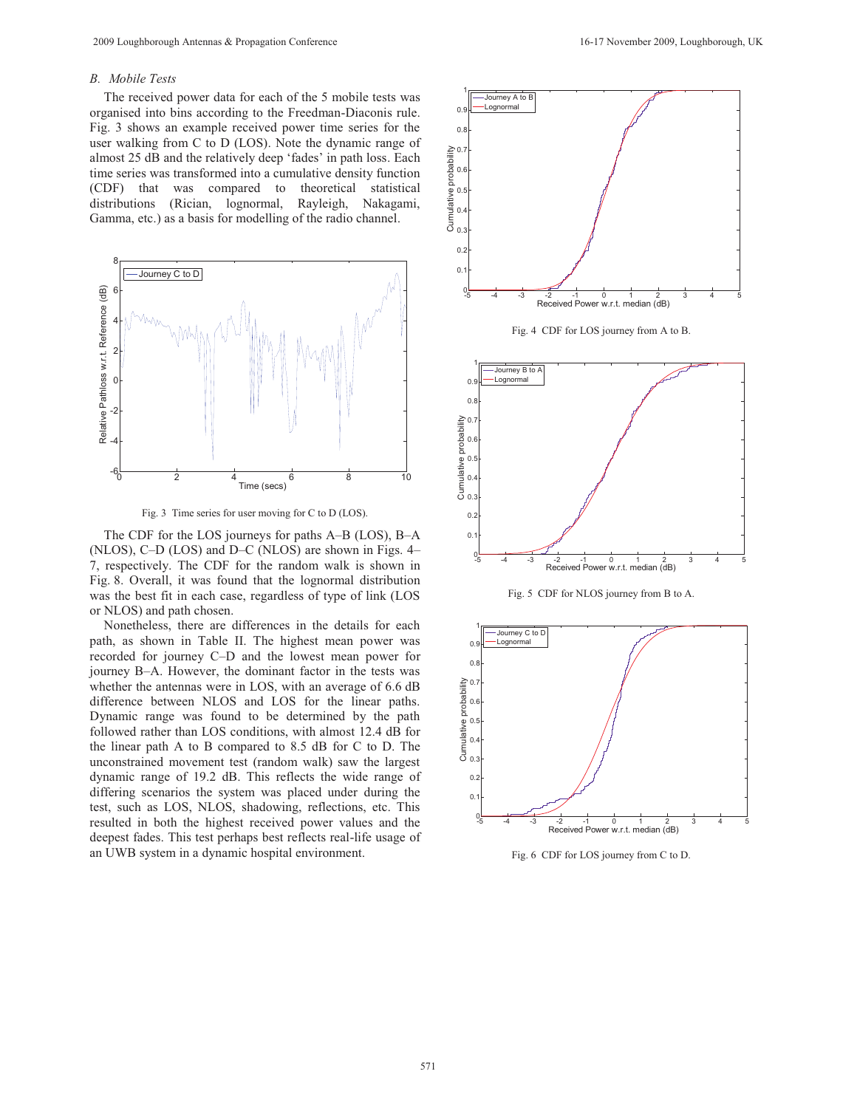## *B. Mobile Tests*

The received power data for each of the 5 mobile tests was organised into bins according to the Freedman-Diaconis rule. Fig. 3 shows an example received power time series for the user walking from C to D (LOS). Note the dynamic range of almost 25 dB and the relatively deep 'fades' in path loss. Each time series was transformed into a cumulative density function (CDF) that was compared to theoretical statistical distributions (Rician, lognormal, Rayleigh, Nakagami, Gamma, etc.) as a basis for modelling of the radio channel.





The CDF for the LOS journeys for paths A–B (LOS), B–A (NLOS), C–D (LOS) and D–C (NLOS) are shown in Figs. 4– 7, respectively. The CDF for the random walk is shown in Fig. 8. Overall, it was found that the lognormal distribution was the best fit in each case, regardless of type of link (LOS or NLOS) and path chosen.

Nonetheless, there are differences in the details for each path, as shown in Table II. The highest mean power was recorded for journey C–D and the lowest mean power for journey B–A. However, the dominant factor in the tests was whether the antennas were in LOS, with an average of 6.6 dB difference between NLOS and LOS for the linear paths. Dynamic range was found to be determined by the path followed rather than LOS conditions, with almost 12.4 dB for the linear path A to B compared to 8.5 dB for C to D. The unconstrained movement test (random walk) saw the largest dynamic range of 19.2 dB. This reflects the wide range of differing scenarios the system was placed under during the test, such as LOS, NLOS, shadowing, reflections, etc. This resulted in both the highest received power values and the deepest fades. This test perhaps best reflects real-life usage of an UWB system in a dynamic hospital environment.



Fig. 6 CDF for LOS journey from C to D.